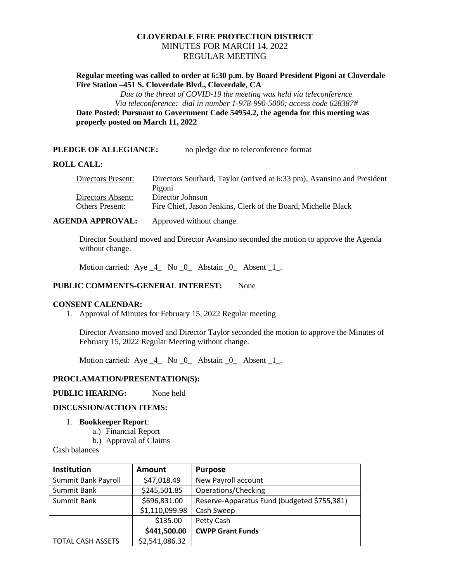# **CLOVERDALE FIRE PROTECTION DISTRICT** MINUTES FOR MARCH 14, 2022 REGULAR MEETING

# **Regular meeting was called to order at 6:30 p.m. by Board President Pigoni at Cloverdale Fire Station –451 S. Cloverdale Blvd., Cloverdale, CA**

*Due to the threat of COVID-19 the meeting was held via teleconference Via teleconference: dial in number 1-978-990-5000; access code 628387#*

**Date Posted: Pursuant to Government Code 54954.2, the agenda for this meeting was properly posted on March 11, 2022**

# **PLEDGE OF ALLEGIANCE:** no pledge due to teleconference format

# **ROLL CALL:**

| Directors Southard, Taylor (arrived at 6:33 pm), Avansino and President |
|-------------------------------------------------------------------------|
| Pigoni                                                                  |
| Director Johnson                                                        |
| Fire Chief, Jason Jenkins, Clerk of the Board, Michelle Black           |
|                                                                         |

# **AGENDA APPROVAL:** Approved without change.

Director Southard moved and Director Avansino seconded the motion to approve the Agenda without change.

Motion carried: Aye 4 No 0 Abstain 0 Absent 1.

# **PUBLIC COMMENTS-GENERAL INTEREST:** None

#### **CONSENT CALENDAR:**

1. Approval of Minutes for February 15, 2022 Regular meeting

Director Avansino moved and Director Taylor seconded the motion to approve the Minutes of February 15, 2022 Regular Meeting without change.

Motion carried:  $Aye_4$  No  $0$  Abstain  $0$  Absent  $1$ .

# **PROCLAMATION/PRESENTATION(S):**

# **PUBLIC HEARING:** None held

# **DISCUSSION/ACTION ITEMS:**

# 1. **Bookkeeper Report**:

- a.) Financial Report
- b.) Approval of Claims

Cash balances

| Institution              | <b>Amount</b>  | <b>Purpose</b>                              |
|--------------------------|----------------|---------------------------------------------|
| Summit Bank Payroll      | \$47,018.49    | New Payroll account                         |
| Summit Bank              | \$245,501.85   | Operations/Checking                         |
| Summit Bank              | \$696,831.00   | Reserve-Apparatus Fund (budgeted \$755,381) |
|                          | \$1,110,099.98 | Cash Sweep                                  |
|                          | \$135.00       | Petty Cash                                  |
|                          | \$441,500.00   | <b>CWPP Grant Funds</b>                     |
| <b>TOTAL CASH ASSETS</b> | \$2,541,086.32 |                                             |